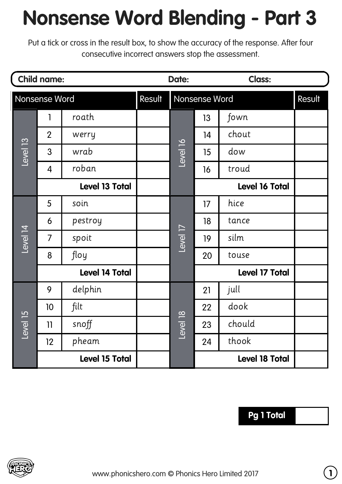## **Nonsense Word Blending - Part 3**

Put a tick or cross in the result box, to show the accuracy of the response. After four consecutive incorrect answers stop the assessment.

|               | <b>Child name:</b>    |         | Date:  |               |                       | <b>Class:</b>         |        |
|---------------|-----------------------|---------|--------|---------------|-----------------------|-----------------------|--------|
| Nonsense Word |                       |         | Result | Nonsense Word |                       |                       | Result |
| Level 13      | 1                     | roath   |        | Level 16      | 13                    | fown                  |        |
|               | $\overline{2}$        | werry   |        |               | 14                    | chout                 |        |
|               | 3                     | wrab    |        |               | 15                    | dow                   |        |
|               | $\overline{4}$        | roban   |        |               | 16                    | troud                 |        |
|               | <b>Level 13 Total</b> |         |        |               |                       | Level 16 Total        |        |
| Level 14      | 5                     | soin    |        | Level 17      | 17                    | hice                  |        |
|               | 6                     | pestroy |        |               | 18                    | tance                 |        |
|               | $\overline{7}$        | spoit   |        |               | 19                    | silm                  |        |
|               | 8                     | floy    |        |               | 20                    | touse                 |        |
|               | <b>Level 14 Total</b> |         |        |               |                       | <b>Level 17 Total</b> |        |
| Level 15      | 9                     | delphin |        | Level 18      | 21                    | jull                  |        |
|               | 10                    | filt    |        |               | 22                    | dook                  |        |
|               | 11                    | snoff   |        |               | 23                    | chould                |        |
|               | 12                    | pheam   |        |               | 24                    | thook                 |        |
|               | <b>Level 15 Total</b> |         |        |               | <b>Level 18 Total</b> |                       |        |

## **Pg 1 Total**